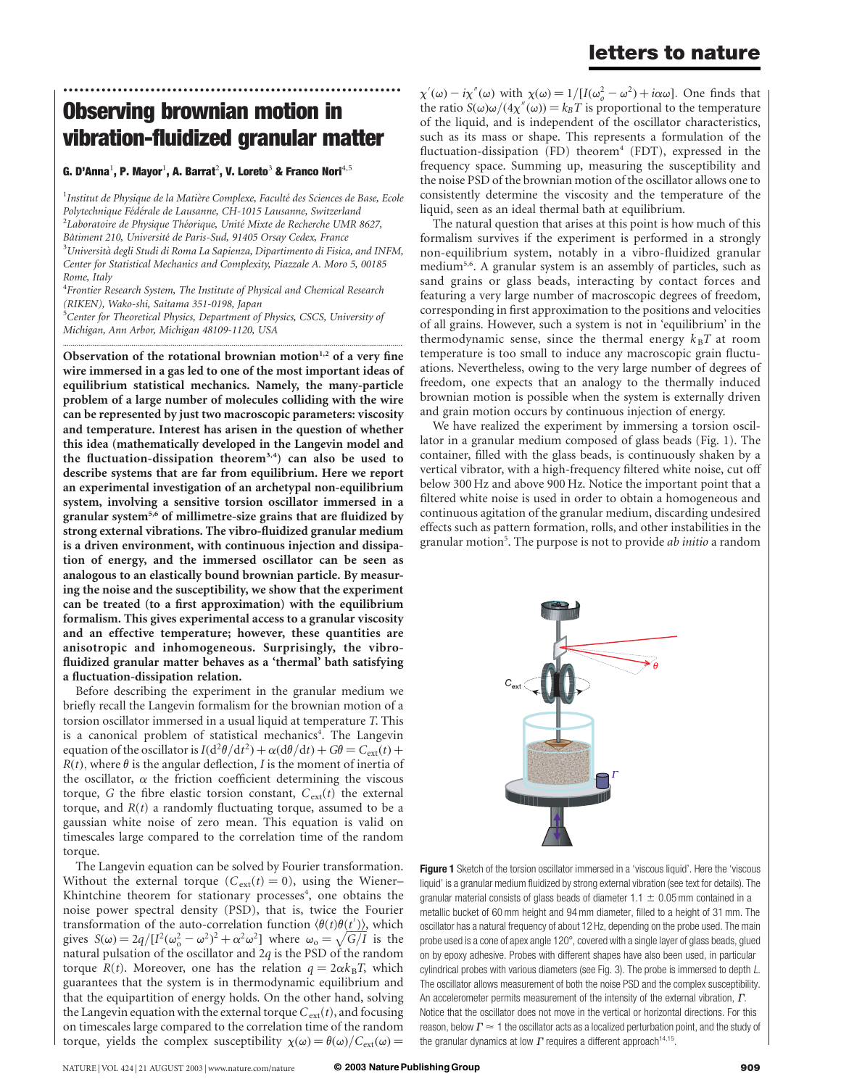### letters to nature

## Observing brownian motion in vibration-fluidized granular matter

..............................................................

#### G. D'Anna $^1$ , P. Mayor $^1$ , A. Barrat $^2$ , V. Loreto $^3$  & Franco Nori $^{4,5}$

 $^{\rm 1}$ Institut de Physique de la Matière Complexe, Faculté des Sciences de Base, Ecole Polytechnique Fédérale de Lausanne, CH-1015 Lausanne, Switzerland  $^{2}$ Laboratoire de Physique Théorique, Unité Mixte de Recherche UMR 8627, Bâtiment 210, Université de Paris-Sud, 91405 Orsay Cedex, France  $3$ Università degli Studi di Roma La Sapienza, Dipartimento di Fisica, and INFM, Center for Statistical Mechanics and Complexity, Piazzale A. Moro 5, 00185 Rome, Italy

<sup>4</sup> Frontier Research System, The Institute of Physical and Chemical Research (RIKEN), Wako-shi, Saitama 351-0198, Japan <sup>5</sup>Center for Theoretical Physics, Department of Physics, CSCS, University of Michigan, Ann Arbor, Michigan 48109-1120, USA

............................................................................................................................................................................. Observation of the rotational brownian motion $1,2$  of a very fine wire immersed in a gas led to one of the most important ideas of equilibrium statistical mechanics. Namely, the many-particle problem of a large number of molecules colliding with the wire can be represented by just two macroscopic parameters: viscosity and temperature. Interest has arisen in the question of whether this idea (mathematically developed in the Langevin model and the fluctuation-dissipation theorem<sup>3,4</sup>) can also be used to describe systems that are far from equilibrium. Here we report an experimental investigation of an archetypal non-equilibrium system, involving a sensitive torsion oscillator immersed in a granular system<sup>5,6</sup> of millimetre-size grains that are fluidized by strong external vibrations. The vibro-fluidized granular medium is a driven environment, with continuous injection and dissipation of energy, and the immersed oscillator can be seen as analogous to an elastically bound brownian particle. By measuring the noise and the susceptibility, we show that the experiment can be treated (to a first approximation) with the equilibrium formalism. This gives experimental access to a granular viscosity and an effective temperature; however, these quantities are anisotropic and inhomogeneous. Surprisingly, the vibrofluidized granular matter behaves as a 'thermal' bath satisfying a fluctuation-dissipation relation.

Before describing the experiment in the granular medium we briefly recall the Langevin formalism for the brownian motion of a torsion oscillator immersed in a usual liquid at temperature T. This is a canonical problem of statistical mechanics<sup>4</sup>. The Langevin equation of the oscillator is  $I(d^2\theta/dt^2) + \alpha(d\theta/dt) + G\theta = C_{ext}(t) +$  $R(t)$ , where  $\theta$  is the angular deflection, I is the moment of inertia of the oscillator,  $\alpha$  the friction coefficient determining the viscous torque, G the fibre elastic torsion constant,  $C_{ext}(t)$  the external torque, and  $R(t)$  a randomly fluctuating torque, assumed to be a gaussian white noise of zero mean. This equation is valid on timescales large compared to the correlation time of the random torque.

The Langevin equation can be solved by Fourier transformation. Without the external torque ( $C_{ext}(t) = 0$ ), using the Wiener– Khintchine theorem for stationary processes<sup>4</sup>, one obtains the noise power spectral density (PSD), that is, twice the Fourier transformation of the auto-correlation function  $\langle \theta(t) \theta(t') \rangle$ , which gives  $S(\omega) = 2q/[I^2(\omega_0^2 - \omega^2)^2 + \alpha^2 \omega^2]$  where  $\omega_0 = \sqrt{G/I}$  is the natural pulsation of the oscillator and  $2q$  is the PSD of the random torque  $R(t)$ . Moreover, one has the relation  $q = 2\alpha k_B T$ , which guarantees that the system is in thermodynamic equilibrium and that the equipartition of energy holds. On the other hand, solving the Langevin equation with the external torque  $C_{ext}(t)$ , and focusing on timescales large compared to the correlation time of the random torque, yields the complex susceptibility  $\chi(\omega) = \theta(\omega) / C_{ext}(\omega)$ 

 $\chi'(\omega) - i\chi''(\omega)$  with  $\chi(\omega) = 1/[I(\omega_o^2 - \omega^2) + i\alpha\omega]$ . One finds that the ratio  $S(\omega)\omega/(4\chi''(\omega))=k_BT$  is proportional to the temperature of the liquid, and is independent of the oscillator characteristics, such as its mass or shape. This represents a formulation of the fluctuation-dissipation (FD) theorem<sup>4</sup> (FDT), expressed in the frequency space. Summing up, measuring the susceptibility and the noise PSD of the brownian motion of the oscillator allows one to consistently determine the viscosity and the temperature of the liquid, seen as an ideal thermal bath at equilibrium.

The natural question that arises at this point is how much of this formalism survives if the experiment is performed in a strongly non-equilibrium system, notably in a vibro-fluidized granular medium<sup>5,6</sup>. A granular system is an assembly of particles, such as sand grains or glass beads, interacting by contact forces and featuring a very large number of macroscopic degrees of freedom, corresponding in first approximation to the positions and velocities of all grains. However, such a system is not in 'equilibrium' in the thermodynamic sense, since the thermal energy  $k_B T$  at room temperature is too small to induce any macroscopic grain fluctuations. Nevertheless, owing to the very large number of degrees of freedom, one expects that an analogy to the thermally induced brownian motion is possible when the system is externally driven and grain motion occurs by continuous injection of energy.

We have realized the experiment by immersing a torsion oscillator in a granular medium composed of glass beads (Fig. 1). The container, filled with the glass beads, is continuously shaken by a vertical vibrator, with a high-frequency filtered white noise, cut off below 300 Hz and above 900 Hz. Notice the important point that a filtered white noise is used in order to obtain a homogeneous and continuous agitation of the granular medium, discarding undesired effects such as pattern formation, rolls, and other instabilities in the granular motion<sup>5</sup>. The purpose is not to provide *ab initio* a random



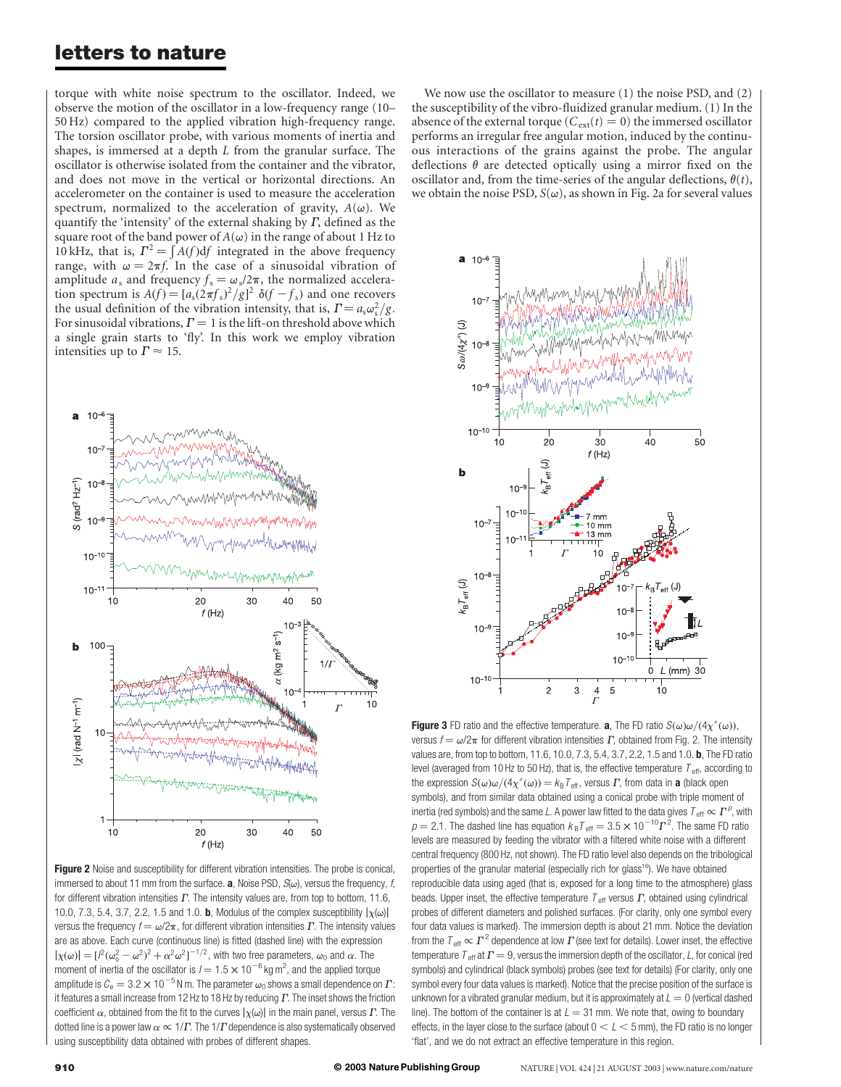#### letters to nature

torque with white noise spectrum to the oscillator. Indeed, we observe the motion of the oscillator in a low-frequency range (10– 50 Hz) compared to the applied vibration high-frequency range. The torsion oscillator probe, with various moments of inertia and shapes, is immersed at a depth L from the granular surface. The oscillator is otherwise isolated from the container and the vibrator, and does not move in the vertical or horizontal directions. An accelerometer on the container is used to measure the acceleration spectrum, normalized to the acceleration of gravity,  $A(\omega)$ . We quantify the 'intensity' of the external shaking by  $\Gamma$ , defined as the square root of the band power of  $A(\omega)$  in the range of about 1 Hz to 10 kHz, that is,  $\Gamma^2 = \int A(f) df$  integrated in the above frequency range, with  $\omega = 2\pi f$ . In the case of a sinusoidal vibration of amplitude  $a_s$  and frequency  $f_s = \omega_s/2\pi$ , the normalized acceleration spectrum is  $A(f) = [a_s(2\pi f_s)^2/g]^2 \delta(f - f_s)$  and one recovers the usual definition of the vibration intensity, that is,  $\Gamma = a_s \omega_s^2/g$ . For sinusoidal vibrations,  $\Gamma = 1$  is the lift-on threshold above which a single grain starts to 'fly'. In this work we employ vibration intensities up to  $\Gamma \approx 15$ .



Figure 2 Noise and susceptibility for different vibration intensities. The probe is conical, immersed to about 11 mm from the surface. **a**, Noise PSD,  $S(\omega)$ , versus the frequency, f, for different vibration intensities  $\Gamma$ . The intensity values are, from top to bottom, 11.6, 10.0, 7.3, 5.4, 3.7, 2.2, 1.5 and 1.0. **b**, Modulus of the complex susceptibility  $|\chi(\omega)|$ versus the frequency  $f = \omega/2\pi$ , for different vibration intensities  $\Gamma$ . The intensity values are as above. Each curve (continuous line) is fitted (dashed line) with the expression  $|\chi(\omega)| = [l^2(\omega_0^2 - \omega^2)^2 + \alpha^2 \omega^2]^{-1/2}$ , with two free parameters,  $\omega_0$  and  $\alpha$ . The moment of inertia of the oscillator is  $I = 1.5 \times 10^{-6}$  kg m<sup>2</sup>, and the applied torque amplitude is  $C_e = 3.2 \times 10^{-5}$  N m. The parameter  $\omega_0$  shows a small dependence on  $\Gamma$ : it features a small increase from 12 Hz to 18 Hz by reducing  $\Gamma$ . The inset shows the friction coefficient  $\alpha$ , obtained from the fit to the curves  $|\chi(\omega)|$  in the main panel, versus  $\Gamma$ . The dotted line is a power law  $\alpha \propto 1/\Gamma$ . The  $1/\Gamma$  dependence is also systematically observed using susceptibility data obtained with probes of different shapes.

We now use the oscillator to measure (1) the noise PSD, and (2) the susceptibility of the vibro-fluidized granular medium. (1) In the absence of the external torque ( $C_{ext}(t) = 0$ ) the immersed oscillator performs an irregular free angular motion, induced by the continuous interactions of the grains against the probe. The angular deflections  $\theta$  are detected optically using a mirror fixed on the oscillator and, from the time-series of the angular deflections,  $\theta(t)$ , we obtain the noise PSD,  $S(\omega)$ , as shown in Fig. 2a for several values



**Figure 3** FD ratio and the effective temperature. **a**, The FD ratio  $S(\omega)\omega/(4\chi''(\omega))$ , versus  $f = \omega/2\pi$  for different vibration intensities  $\Gamma$ , obtained from Fig. 2. The intensity values are, from top to bottom, 11.6, 10.0, 7.3, 5.4, 3.7, 2.2, 1.5 and 1.0. **b**, The FD ratio level (averaged from 10 Hz to 50 Hz), that is, the effective temperature  $T_{\text{eff}}$ , according to the expression  $S(\omega)\omega/(4\chi''(\omega))=k_\text{B}T_\text{eff}$ , versus  $\varGamma$ , from data in **a** (black open symbols), and from similar data obtained using a conical probe with triple moment of inertia (red symbols) and the same L. A power law fitted to the data gives  ${\mathcal T}_{\mathsf{eff}} \propto \mathcal{\mathcal T}^\rho$ , with  $\rho =$  2.1. The dashed line has equation  $k_{\rm B}$ T<sub>eff</sub>  $= 3.5 \times 10^{-10} T^2$ . The same FD ratio levels are measured by feeding the vibrator with a filtered white noise with a different central frequency (800 Hz, not shown). The FD ratio level also depends on the tribological properties of the granular material (especially rich for glass<sup>16</sup>). We have obtained reproducible data using aged (that is, exposed for a long time to the atmosphere) glass beads. Upper inset, the effective temperature  $T_{\text{eff}}$  versus  $\Gamma$ , obtained using cylindrical probes of different diameters and polished surfaces. (For clarity, only one symbol every four data values is marked). The immersion depth is about 21 mm. Notice the deviation from the  $T_{\rm eff} \propto \Gamma^2$  dependence at low  $\Gamma$  (see text for details). Lower inset, the effective temperature  ${\cal T}_{\rm eff}$  at  $\varGamma=9$ , versus the immersion depth of the oscillator, L, for conical (red symbols) and cylindrical (black symbols) probes (see text for details) (For clarity, only one symbol every four data values is marked). Notice that the precise position of the surface is unknown for a vibrated granular medium, but it is approximately at  $L = 0$  (vertical dashed line). The bottom of the container is at  $L = 31$  mm. We note that, owing to boundary effects, in the layer close to the surface (about  $0 < L < 5$  mm), the FD ratio is no longer 'flat', and we do not extract an effective temperature in this region.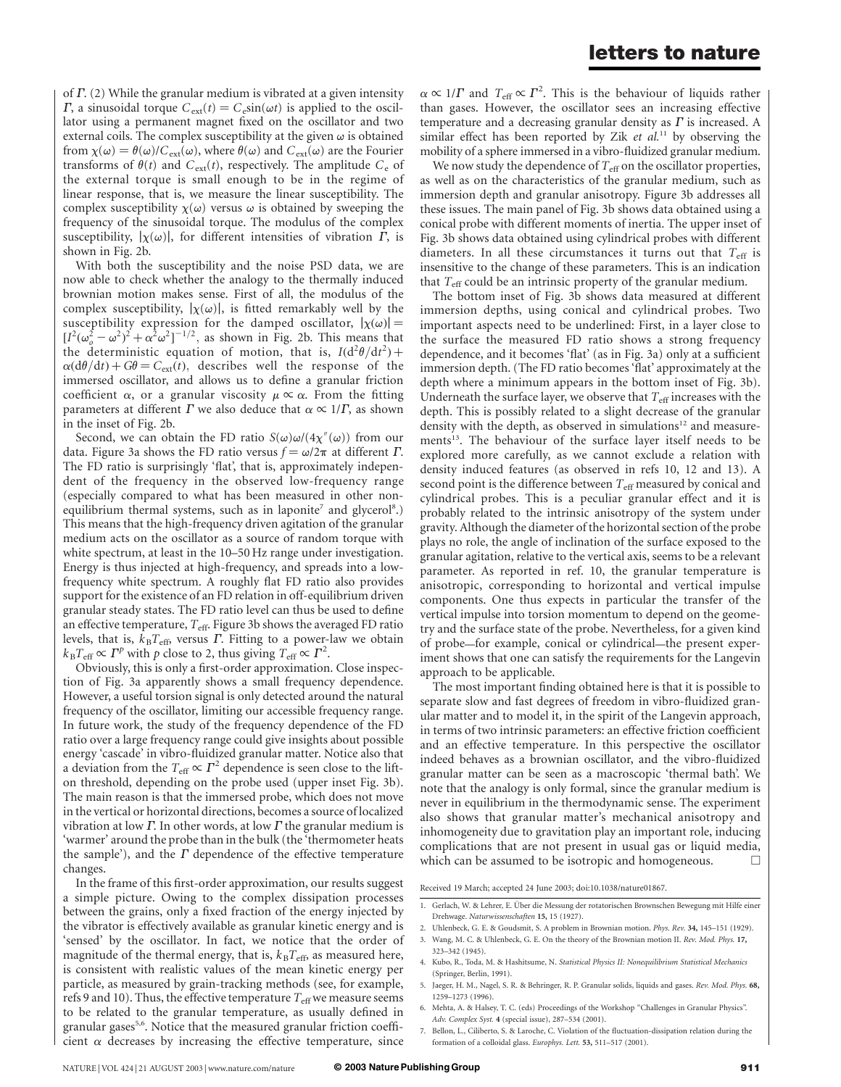of  $\Gamma$ . (2) While the granular medium is vibrated at a given intensity  $\Gamma$ , a sinusoidal torque  $C_{ext}(t) = C_e \sin(\omega t)$  is applied to the oscillator using a permanent magnet fixed on the oscillator and two external coils. The complex susceptibility at the given  $\omega$  is obtained from  $\chi(\omega) = \theta(\omega)/C_{ext}(\omega)$ , where  $\theta(\omega)$  and  $C_{ext}(\omega)$  are the Fourier transforms of  $\theta(t)$  and  $C_{ext}(t)$ , respectively. The amplitude  $C_e$  of the external torque is small enough to be in the regime of linear response, that is, we measure the linear susceptibility. The complex susceptibility  $\chi(\omega)$  versus  $\omega$  is obtained by sweeping the frequency of the sinusoidal torque. The modulus of the complex susceptibility,  $|\chi(\omega)|$ , for different intensities of vibration  $\Gamma$ , is shown in Fig. 2b.

With both the susceptibility and the noise PSD data, we are now able to check whether the analogy to the thermally induced brownian motion makes sense. First of all, the modulus of the complex susceptibility,  $|\chi(\omega)|$ , is fitted remarkably well by the susceptibility expression for the damped oscillator,  $|\chi(\omega)| =$  $[I^2(\omega_0^2 - \omega^2)^2 + \alpha^2 \omega^2]^{-1/2}$ , as shown in Fig. 2b. This means that the deterministic equation of motion, that is,  $I(d^2\theta/dt^2)$  +  $\alpha$ (d $\theta$ /dt) + G $\theta$  = C<sub>ext</sub>(t), describes well the response of the immersed oscillator, and allows us to define a granular friction coefficient  $\alpha$ , or a granular viscosity  $\mu \propto \alpha$ . From the fitting parameters at different  $\Gamma$  we also deduce that  $\alpha \propto 1/\Gamma$ , as shown in the inset of Fig. 2b.

Second, we can obtain the FD ratio  $S(\omega)\omega/(4\chi''(\omega))$  from our data. Figure 3a shows the FD ratio versus  $f = \omega/2\pi$  at different  $\Gamma$ . The FD ratio is surprisingly 'flat', that is, approximately independent of the frequency in the observed low-frequency range (especially compared to what has been measured in other nonequilibrium thermal systems, such as in laponite<sup>7</sup> and glycerol<sup>8</sup>.) This means that the high-frequency driven agitation of the granular medium acts on the oscillator as a source of random torque with white spectrum, at least in the 10–50 Hz range under investigation. Energy is thus injected at high-frequency, and spreads into a lowfrequency white spectrum. A roughly flat FD ratio also provides support for the existence of an FD relation in off-equilibrium driven granular steady states. The FD ratio level can thus be used to define an effective temperature,  $T_{\text{eff}}$ . Figure 3b shows the averaged FD ratio levels, that is,  $k_B T_{\text{eff}}$ , versus  $\Gamma$ . Fitting to a power-law we obtain  $k_{\rm B}T_{\rm eff} \propto \Gamma^p$  with p close to 2, thus giving  $T_{\rm eff} \propto \Gamma^2$ .

Obviously, this is only a first-order approximation. Close inspection of Fig. 3a apparently shows a small frequency dependence. However, a useful torsion signal is only detected around the natural frequency of the oscillator, limiting our accessible frequency range. In future work, the study of the frequency dependence of the FD ratio over a large frequency range could give insights about possible energy 'cascade' in vibro-fluidized granular matter. Notice also that a deviation from the  $T_{\text{eff}} \propto \Gamma^2$  dependence is seen close to the lifton threshold, depending on the probe used (upper inset Fig. 3b). The main reason is that the immersed probe, which does not move in the vertical or horizontal directions, becomes a source of localized vibration at low  $\Gamma$ . In other words, at low  $\Gamma$  the granular medium is 'warmer' around the probe than in the bulk (the 'thermometer heats the sample'), and the  $\Gamma$  dependence of the effective temperature changes.

In the frame of this first-order approximation, our results suggest a simple picture. Owing to the complex dissipation processes between the grains, only a fixed fraction of the energy injected by the vibrator is effectively available as granular kinetic energy and is 'sensed' by the oscillator. In fact, we notice that the order of magnitude of the thermal energy, that is,  $k_BT_{\text{eff}}$  as measured here, is consistent with realistic values of the mean kinetic energy per particle, as measured by grain-tracking methods (see, for example, refs 9 and 10). Thus, the effective temperature  $T_{\text{eff}}$  we measure seems to be related to the granular temperature, as usually defined in granular gases<sup>5,6</sup>. Notice that the measured granular friction coefficient  $\alpha$  decreases by increasing the effective temperature, since

 $\alpha \propto 1/\Gamma$  and  $T_{\text{eff}} \propto \Gamma^2$ . This is the behaviour of liquids rather than gases. However, the oscillator sees an increasing effective temperature and a decreasing granular density as  $\Gamma$  is increased. A similar effect has been reported by Zik et  $al$ .<sup>11</sup> by observing the mobility of a sphere immersed in a vibro-fluidized granular medium.

We now study the dependence of  $T_{\text{eff}}$  on the oscillator properties, as well as on the characteristics of the granular medium, such as immersion depth and granular anisotropy. Figure 3b addresses all these issues. The main panel of Fig. 3b shows data obtained using a conical probe with different moments of inertia. The upper inset of Fig. 3b shows data obtained using cylindrical probes with different diameters. In all these circumstances it turns out that  $T_{\text{eff}}$  is insensitive to the change of these parameters. This is an indication that  $T_{\text{eff}}$  could be an intrinsic property of the granular medium.

The bottom inset of Fig. 3b shows data measured at different immersion depths, using conical and cylindrical probes. Two important aspects need to be underlined: First, in a layer close to the surface the measured FD ratio shows a strong frequency dependence, and it becomes 'flat' (as in Fig. 3a) only at a sufficient immersion depth. (The FD ratio becomes 'flat' approximately at the depth where a minimum appears in the bottom inset of Fig. 3b). Underneath the surface layer, we observe that  $T_{\text{eff}}$  increases with the depth. This is possibly related to a slight decrease of the granular density with the depth, as observed in simulations<sup>12</sup> and measurements<sup>13</sup>. The behaviour of the surface layer itself needs to be explored more carefully, as we cannot exclude a relation with density induced features (as observed in refs 10, 12 and 13). A second point is the difference between  $T_{\text{eff}}$  measured by conical and cylindrical probes. This is a peculiar granular effect and it is probably related to the intrinsic anisotropy of the system under gravity. Although the diameter of the horizontal section of the probe plays no role, the angle of inclination of the surface exposed to the granular agitation, relative to the vertical axis, seems to be a relevant parameter. As reported in ref. 10, the granular temperature is anisotropic, corresponding to horizontal and vertical impulse components. One thus expects in particular the transfer of the vertical impulse into torsion momentum to depend on the geometry and the surface state of the probe. Nevertheless, for a given kind of probe—for example, conical or cylindrical—the present experiment shows that one can satisfy the requirements for the Langevin approach to be applicable.

The most important finding obtained here is that it is possible to separate slow and fast degrees of freedom in vibro-fluidized granular matter and to model it, in the spirit of the Langevin approach, in terms of two intrinsic parameters: an effective friction coefficient and an effective temperature. In this perspective the oscillator indeed behaves as a brownian oscillator, and the vibro-fluidized granular matter can be seen as a macroscopic 'thermal bath'. We note that the analogy is only formal, since the granular medium is never in equilibrium in the thermodynamic sense. The experiment also shows that granular matter's mechanical anisotropy and inhomogeneity due to gravitation play an important role, inducing complications that are not present in usual gas or liquid media, which can be assumed to be isotropic and homogeneous.  $\Box$ 

Received 19 March; accepted 24 June 2003; doi:10.1038/nature01867.

- 1. Gerlach, W. & Lehrer, E. Über die Messung der rotatorischen Brownschen Bewegung mit Hilfe einer Drehwage. Naturwissenschaften 15, 15 (1927).
- 2. Uhlenbeck, G. E. & Goudsmit, S. A problem in Brownian motion. Phys. Rev. 34, 145–151 (1929). 3. Wang, M. C. & Uhlenbeck, G. E. On the theory of the Brownian motion II. Rev. Mod. Phys. 17,
- 323–342 (1945).
- 4. Kubo, R., Toda, M. & Hashitsume, N. Statistical Physics II: Nonequilibrium Statistical Mechanics (Springer, Berlin, 1991).
- 5. Jaeger, H. M., Nagel, S. R. & Behringer, R. P. Granular solids, liquids and gases. Rev. Mod. Phys. 68, 1259–1273 (1996).
- 6. Mehta, A. & Halsey, T. C. (eds) Proceedings of the Workshop "Challenges in Granular Physics". Adv. Complex Syst. 4 (special issue), 287–534 (2001).
- 7. Bellon, L., Ciliberto, S. & Laroche, C. Violation of the fluctuation-dissipation relation during the formation of a colloidal glass. Europhys. Lett. 53, 511–517 (2001).